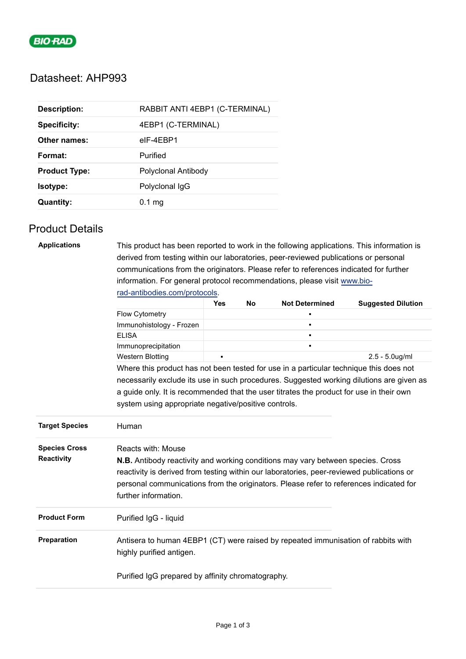

# Datasheet: AHP993

| <b>Description:</b>  | RABBIT ANTI 4EBP1 (C-TERMINAL) |
|----------------------|--------------------------------|
| <b>Specificity:</b>  | 4EBP1 (C-TERMINAL)             |
| Other names:         | elF-4EBP1                      |
| Format:              | Purified                       |
| <b>Product Type:</b> | Polyclonal Antibody            |
| <b>Isotype:</b>      | Polyclonal IgG                 |
| <b>Quantity:</b>     | $0.1$ mg                       |

## Product Details

| <b>Applications</b>   | This product has been reported to work in the following applications. This information is                     |            |    |                       |                           |  |  |  |
|-----------------------|---------------------------------------------------------------------------------------------------------------|------------|----|-----------------------|---------------------------|--|--|--|
|                       | derived from testing within our laboratories, peer-reviewed publications or personal                          |            |    |                       |                           |  |  |  |
|                       | communications from the originators. Please refer to references indicated for further                         |            |    |                       |                           |  |  |  |
|                       | information. For general protocol recommendations, please visit www.bio-                                      |            |    |                       |                           |  |  |  |
|                       | rad-antibodies.com/protocols.                                                                                 |            |    |                       |                           |  |  |  |
|                       |                                                                                                               | <b>Yes</b> | No | <b>Not Determined</b> | <b>Suggested Dilution</b> |  |  |  |
|                       | Flow Cytometry                                                                                                |            |    |                       |                           |  |  |  |
|                       | Immunohistology - Frozen                                                                                      |            |    |                       |                           |  |  |  |
|                       | <b>ELISA</b>                                                                                                  |            |    |                       |                           |  |  |  |
|                       | Immunoprecipitation                                                                                           |            |    |                       |                           |  |  |  |
|                       | <b>Western Blotting</b>                                                                                       |            |    |                       | $2.5 - 5.0$ ug/ml         |  |  |  |
|                       | Where this product has not been tested for use in a particular technique this does not                        |            |    |                       |                           |  |  |  |
|                       | necessarily exclude its use in such procedures. Suggested working dilutions are given as                      |            |    |                       |                           |  |  |  |
|                       | a guide only. It is recommended that the user titrates the product for use in their own                       |            |    |                       |                           |  |  |  |
|                       | system using appropriate negative/positive controls.                                                          |            |    |                       |                           |  |  |  |
|                       |                                                                                                               |            |    |                       |                           |  |  |  |
| <b>Target Species</b> | Human                                                                                                         |            |    |                       |                           |  |  |  |
| <b>Species Cross</b>  | <b>Reacts with: Mouse</b>                                                                                     |            |    |                       |                           |  |  |  |
| Reactivity            | <b>N.B.</b> Antibody reactivity and working conditions may vary between species. Cross                        |            |    |                       |                           |  |  |  |
|                       | reactivity is derived from testing within our laboratories, peer-reviewed publications or                     |            |    |                       |                           |  |  |  |
|                       | personal communications from the originators. Please refer to references indicated for                        |            |    |                       |                           |  |  |  |
|                       | further information.                                                                                          |            |    |                       |                           |  |  |  |
|                       |                                                                                                               |            |    |                       |                           |  |  |  |
| <b>Product Form</b>   | Purified IgG - liquid                                                                                         |            |    |                       |                           |  |  |  |
| Preparation           | Antisera to human 4EBP1 (CT) were raised by repeated immunisation of rabbits with<br>highly purified antigen. |            |    |                       |                           |  |  |  |
|                       |                                                                                                               |            |    |                       |                           |  |  |  |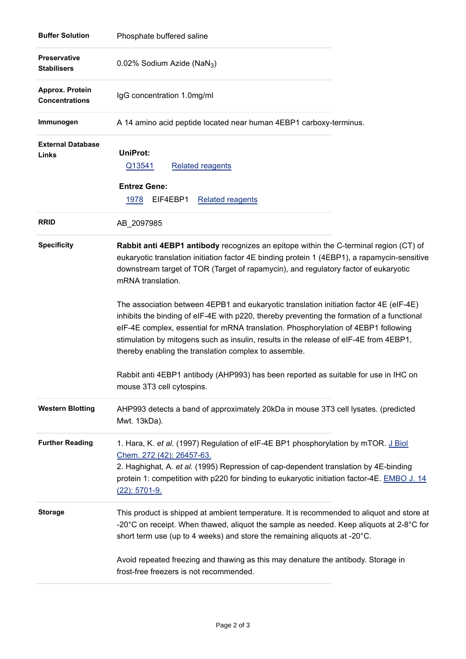| <b>Buffer Solution</b>                    | Phosphate buffered saline                                                                                                                                                                                                                                                                                                                                                                                                                                                                                                                                                                                                                                                                                                                                                                                                                             |  |  |  |
|-------------------------------------------|-------------------------------------------------------------------------------------------------------------------------------------------------------------------------------------------------------------------------------------------------------------------------------------------------------------------------------------------------------------------------------------------------------------------------------------------------------------------------------------------------------------------------------------------------------------------------------------------------------------------------------------------------------------------------------------------------------------------------------------------------------------------------------------------------------------------------------------------------------|--|--|--|
| <b>Preservative</b><br><b>Stabilisers</b> | 0.02% Sodium Azide (NaN <sub>3</sub> )                                                                                                                                                                                                                                                                                                                                                                                                                                                                                                                                                                                                                                                                                                                                                                                                                |  |  |  |
| Approx. Protein<br><b>Concentrations</b>  | IgG concentration 1.0mg/ml                                                                                                                                                                                                                                                                                                                                                                                                                                                                                                                                                                                                                                                                                                                                                                                                                            |  |  |  |
| Immunogen                                 | A 14 amino acid peptide located near human 4EBP1 carboxy-terminus.                                                                                                                                                                                                                                                                                                                                                                                                                                                                                                                                                                                                                                                                                                                                                                                    |  |  |  |
| <b>External Database</b><br>Links         | UniProt:<br>Q13541<br><b>Related reagents</b><br><b>Entrez Gene:</b><br>1978<br>EIF4EBP1<br><b>Related reagents</b>                                                                                                                                                                                                                                                                                                                                                                                                                                                                                                                                                                                                                                                                                                                                   |  |  |  |
| <b>RRID</b>                               | AB_2097985                                                                                                                                                                                                                                                                                                                                                                                                                                                                                                                                                                                                                                                                                                                                                                                                                                            |  |  |  |
| <b>Specificity</b>                        | Rabbit anti 4EBP1 antibody recognizes an epitope within the C-terminal region (CT) of<br>eukaryotic translation initiation factor 4E binding protein 1 (4EBP1), a rapamycin-sensitive<br>downstream target of TOR (Target of rapamycin), and regulatory factor of eukaryotic<br>mRNA translation.<br>The association between 4EPB1 and eukaryotic translation initiation factor 4E (eIF-4E)<br>inhibits the binding of eIF-4E with p220, thereby preventing the formation of a functional<br>elF-4E complex, essential for mRNA translation. Phosphorylation of 4EBP1 following<br>stimulation by mitogens such as insulin, results in the release of eIF-4E from 4EBP1,<br>thereby enabling the translation complex to assemble.<br>Rabbit anti 4EBP1 antibody (AHP993) has been reported as suitable for use in IHC on<br>mouse 3T3 cell cytospins. |  |  |  |
| <b>Western Blotting</b>                   | AHP993 detects a band of approximately 20kDa in mouse 3T3 cell lysates. (predicted<br>Mwt. 13kDa).                                                                                                                                                                                                                                                                                                                                                                                                                                                                                                                                                                                                                                                                                                                                                    |  |  |  |
| <b>Further Reading</b>                    | 1. Hara, K. et al. (1997) Regulation of eIF-4E BP1 phosphorylation by mTOR. J Biol<br>Chem. 272 (42): 26457-63.<br>2. Haghighat, A. et al. (1995) Repression of cap-dependent translation by 4E-binding<br>protein 1: competition with p220 for binding to eukaryotic initiation factor-4E. EMBO J. 14<br>$(22): 5701 - 9.$                                                                                                                                                                                                                                                                                                                                                                                                                                                                                                                           |  |  |  |
| <b>Storage</b>                            | This product is shipped at ambient temperature. It is recommended to aliquot and store at<br>-20 $^{\circ}$ C on receipt. When thawed, aliquot the sample as needed. Keep aliquots at 2-8 $^{\circ}$ C for<br>short term use (up to 4 weeks) and store the remaining aliquots at -20°C.                                                                                                                                                                                                                                                                                                                                                                                                                                                                                                                                                               |  |  |  |
|                                           | Avoid repeated freezing and thawing as this may denature the antibody. Storage in<br>frost-free freezers is not recommended.                                                                                                                                                                                                                                                                                                                                                                                                                                                                                                                                                                                                                                                                                                                          |  |  |  |